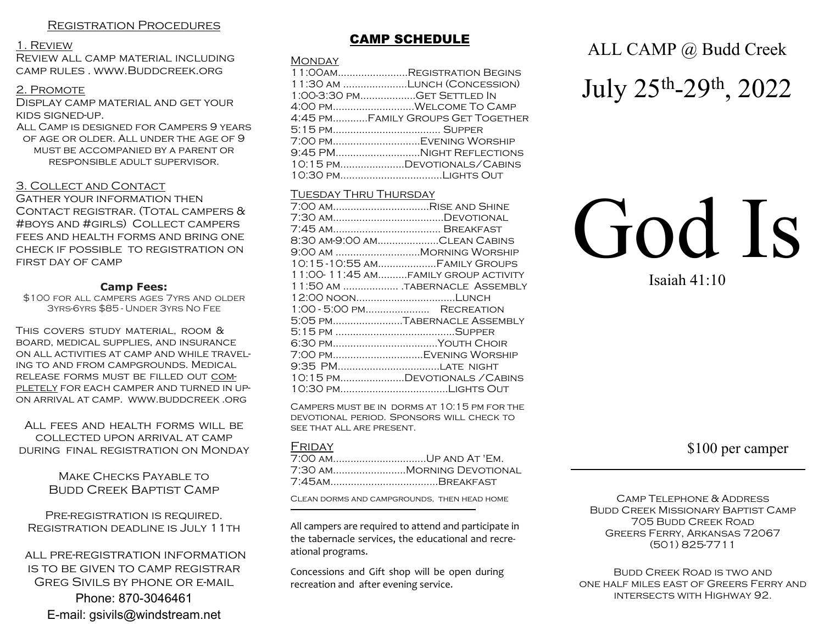### 1. Review

Review all camp material including camp rules . www.Buddcreek.org

# 2. Promote

Display camp material and get your kids signed-up.

All Camp is designed for Campers 9 years of age or older. All under the age of 9 must be accompanied by a parent or responsible adult supervisor.

### 3. Collect and Contact

Gather your information then Contact registrar. (Total campers & #boys and #girls) Collect campers fees and health forms and bring one check if possible to registration on first day of camp

### **Camp Fees:**

\$100 for all campers ages 7yrs and older 3yrs-6yrs \$85 - Under 3yrs No Fee

This covers study material, room & board, medical supplies, and insurance on all activities at camp and while traveling to and from campgrounds. Medical release forms must be filled out com-PLETELY FOR EACH CAMPER AND TURNED IN UPon arrival at camp. www.buddcreek .org

All fees and health forms will be collected upon arrival at camp during final registration on Monday

> Make Checks Payable to Budd Creek Baptist Camp

Pre-registration is required. Registration deadline is July 11th

 all pre-registration information is to be given to camp registrar Greg Sivils by phone or e-mail Phone: 870-3046461 E-mail: gsivils@windstream.net

# **CAMP SCHEDULE**

### Monday

| 11:00AMREGISTRATION BEGINS        |
|-----------------------------------|
| 11:30 AM LUNCH (CONCESSION)       |
| 1:00-3:30 PMGET SETTLED IN        |
| 4:00 pmWelcome To Camp            |
| 4:45 pmFamily Groups Get Together |
|                                   |
| 7:00 PMEVENING WORSHIP            |
| 9:45 PMNIGHT REFLECTIONS          |
| 10:15 PMDEVOTIONALS/CABINS        |
|                                   |
|                                   |

### **TUESDAY THRU THURSDAY**

| 7:00 AMRISE AND SHINE               |
|-------------------------------------|
|                                     |
|                                     |
| 8.30 am-9.00 amClean Cabins         |
| 9:00 AM MORNING WORSHIP             |
| 10:15-10:55 AMFAMILY GROUPS         |
| 11:00-11:45 AMFAMILY GROUP ACTIVITY |
| 11:50 AM TABERNACLE ASSEMBLY        |
|                                     |
| 1:00 - 5:00 PM RECREATION           |
| 5:05 PMTABERNACLE ASSEMBLY          |
|                                     |
| 6:30 PMYOUTH CHOIR                  |
| 7:00 PMEVENING WORSHIP              |
| 9:35 PMLATE NIGHT                   |
| 10:15 PMDEVOTIONALS / CABINS        |
|                                     |
|                                     |

Campers must be in dorms at 10:15 pm for the devotional period. Sponsors will check to see that all are present.

### FRIDAY

| 7:00 AMUP AND AT 'EM.     |
|---------------------------|
| 7:30 amMorning Devotional |
| 7:45amBreakfast           |
|                           |

Clean dorms and campgrounds, then head home

All campers are required to attend and participate in the tabernacle services, the educational and recreational programs.

Concessions and Gift shop will be open during recreation and after evening service.

# ALL CAMP @ Budd Creek

July 25th-29th, 2022

# God Is

Isaiah 41:10

# \$100 per camper

CAMP TELEPHONE & ADDRESS Budd Creek Missionary Baptist Camp 705 Budd Creek Road Greers Ferry, Arkansas 72067 (501) 825-7711

Budd Creek Road is two and one half miles east of Greers Ferry and intersects with Highway 92.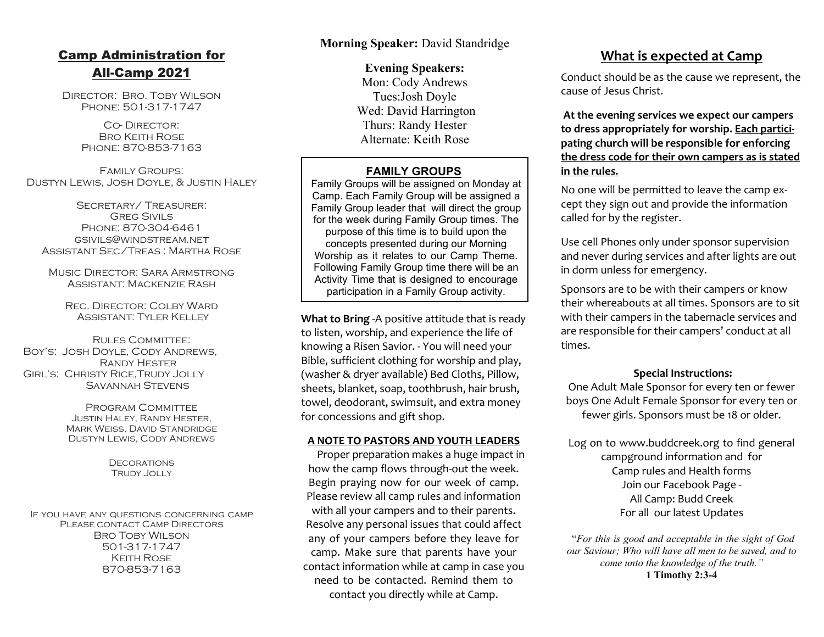# **Camp Administration for All-Camp 2021**

Director: Bro. Toby Wilson Phone: 501-317-1747

> Co- Director: Bro Keith Rose Phone: 870-853-7163

Family Groups: Dustyn Lewis, Josh Doyle, & Justin Haley

Secretary/ Treasurer: **GREG SIVILS** Phone: 870-304-6461 gsivils@windstream.ne Assistant Sec/Treas : Martha Rose

Music Director: Sara Armstrong Assistant: Mackenzie Rash

REC. DIRECTOR: COLBY WARD Assistant: Tyler Kelley

Rules Committee: Boy's: Josh Doyle, Cody Andrews, Randy Hester Girl's: Christy Rice,Trudy Jolly Savannah Stevens

> Program Committee Justin Haley, Randy Hester, Mark Weiss, David Standridge Dustyn Lewis, Cody Andrews

> > **DECORATIONS** Trudy Jolly

If you have any questions concerning camp PLEASE CONTACT CAMP DIRECTORS Bro Toby Wilson 501-317-1747 Keith Rose 870-853-7163

**Morning Speaker:** David Standridge

**Evening Speakers:** Mon: Cody Andrews Tues:Josh Doyle Wed: David Harrington Thurs: Randy Hester Alternate: Keith Rose

# **FAMILY GROUPS**

Family Groups will be assigned on Monday at Camp. Each Family Group will be assigned a Family Group leader that will direct the group for the week during Family Group times. The purpose of this time is to build upon the concepts presented during our Morning Worship as it relates to our Camp Theme. Following Family Group time there will be an Activity Time that is designed to encourage participation in a Family Group activity.

**What to Bring** -A positive attitude that is ready to listen, worship, and experience the life of knowing a Risen Savior. - You will need your Bible, sufficient clothing for worship and play, (washer & dryer available) Bed Cloths, Pillow, sheets, blanket, soap, toothbrush, hair brush, towel, deodorant, swimsuit, and extra money for concessions and gift shop.

# **A NOTE TO PASTORS AND YOUTH LEADERS**

 Proper preparation makes a huge impact in how the camp flows through-out the week. Begin praying now for our week of camp. Please review all camp rules and information with all your campers and to their parents. Resolve any personal issues that could affect any of your campers before they leave for camp. Make sure that parents have your contact information while at camp in case you need to be contacted. Remind them to contact you directly while at Camp.

# **What is expected at Camp**

Conduct should be as the cause we represent, the cause of Jesus Christ.

 **At the evening services we expect our campers to dress appropriately for worship. Each participating church will be responsible for enforcing the dress code for their own campers as is stated in the rules.**

No one will be permitted to leave the camp except they sign out and provide the information called for by the register.

Use cell Phones only under sponsor supervision and never during services and after lights are out in dorm unless for emergency.

Sponsors are to be with their campers or know their whereabouts at all times. Sponsors are to sit with their campers in the tabernacle services and are responsible for their campers' conduct at all times.

# **Special Instructions:**

One Adult Male Sponsor for every ten or fewer boys One Adult Female Sponsor for every ten or fewer girls. Sponsors must be 18 or older.

Log on to www.buddcreek.org to find general campground information and for Camp rules and Health forms Join our Facebook Page - All Camp: Budd Creek For all our latest Updates

 "*For this is good and acceptable in the sight of God our Saviour; Who will have all men to be saved, and to come unto the knowledge of the truth."* **1 Timothy 2:3-4**